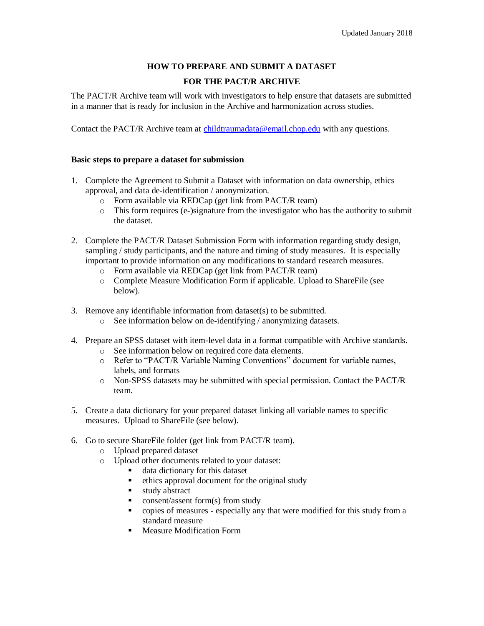## **HOW TO PREPARE AND SUBMIT A DATASET**

# **FOR THE PACT/R ARCHIVE**

The PACT/R Archive team will work with investigators to help ensure that datasets are submitted in a manner that is ready for inclusion in the Archive and harmonization across studies.

Contact the PACT/R Archive team at [childtraumadata@email.chop.edu](mailto:childtraumadata@email.chop.edu) with any questions.

#### **Basic steps to prepare a dataset for submission**

- 1. Complete the Agreement to Submit a Dataset with information on data ownership, ethics approval, and data de-identification / anonymization.
	- o Form available via REDCap (get link from PACT/R team)
	- o This form requires (e-)signature from the investigator who has the authority to submit the dataset.
- 2. Complete the PACT/R Dataset Submission Form with information regarding study design, sampling / study participants, and the nature and timing of study measures. It is especially important to provide information on any modifications to standard research measures.
	- o Form available via REDCap (get link from PACT/R team)
	- o Complete Measure Modification Form if applicable. Upload to ShareFile (see below).
- 3. Remove any identifiable information from dataset(s) to be submitted.
	- o See information below on de-identifying / anonymizing datasets.
- 4. Prepare an SPSS dataset with item-level data in a format compatible with Archive standards.
	- o See information below on required core data elements.
	- o Refer to "PACT/R Variable Naming Conventions" document for variable names, labels, and formats
	- o Non-SPSS datasets may be submitted with special permission. Contact the PACT/R team.
- 5. Create a data dictionary for your prepared dataset linking all variable names to specific measures. Upload to ShareFile (see below).
- 6. Go to secure ShareFile folder (get link from PACT/R team).
	- o Upload prepared dataset
	- o Upload other documents related to your dataset:
		- data dictionary for this dataset
		- ethics approval document for the original study
		- **study abstract**
		- consent/assent form(s) from study
		- copies of measures especially any that were modified for this study from a standard measure
		- **Measure Modification Form**